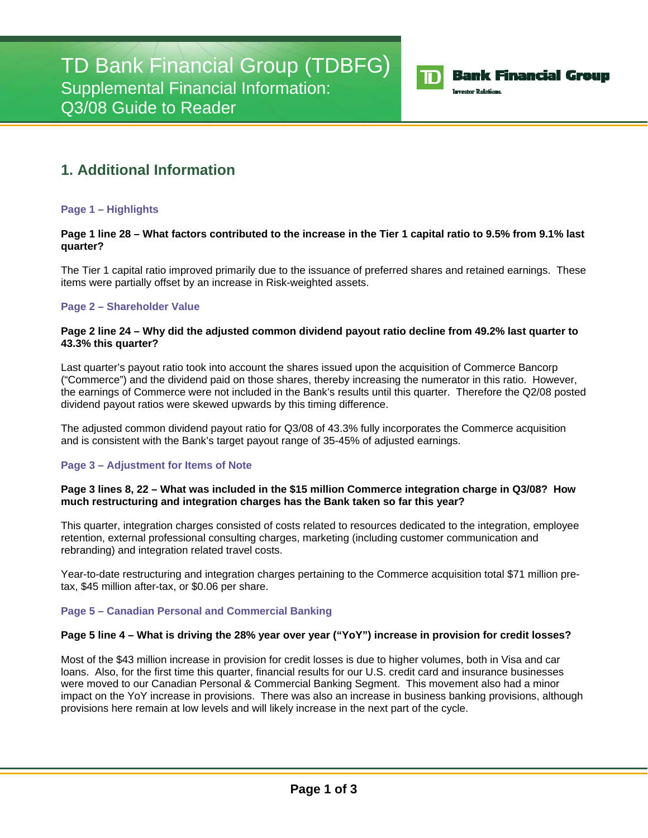

## **Bank Financial Group**

**Investor Relations** 

# **1. Additional Information**

## **Page 1 – Highlights**

## **Page 1 line 28 – What factors contributed to the increase in the Tier 1 capital ratio to 9.5% from 9.1% last quarter?**

The Tier 1 capital ratio improved primarily due to the issuance of preferred shares and retained earnings. These items were partially offset by an increase in Risk-weighted assets.

## **Page 2 – Shareholder Value**

## **Page 2 line 24 – Why did the adjusted common dividend payout ratio decline from 49.2% last quarter to 43.3% this quarter?**

Last quarter's payout ratio took into account the shares issued upon the acquisition of Commerce Bancorp ("Commerce") and the dividend paid on those shares, thereby increasing the numerator in this ratio. However, the earnings of Commerce were not included in the Bank's results until this quarter. Therefore the Q2/08 posted dividend payout ratios were skewed upwards by this timing difference.

The adjusted common dividend payout ratio for Q3/08 of 43.3% fully incorporates the Commerce acquisition and is consistent with the Bank's target payout range of 35-45% of adjusted earnings.

## **Page 3 – Adjustment for Items of Note**

## **Page 3 lines 8, 22 – What was included in the \$15 million Commerce integration charge in Q3/08? How much restructuring and integration charges has the Bank taken so far this year?**

This quarter, integration charges consisted of costs related to resources dedicated to the integration, employee retention, external professional consulting charges, marketing (including customer communication and rebranding) and integration related travel costs.

Year-to-date restructuring and integration charges pertaining to the Commerce acquisition total \$71 million pretax, \$45 million after-tax, or \$0.06 per share.

## **Page 5 – Canadian Personal and Commercial Banking**

## **Page 5 line 4 – What is driving the 28% year over year ("YoY") increase in provision for credit losses?**

Most of the \$43 million increase in provision for credit losses is due to higher volumes, both in Visa and car loans. Also, for the first time this quarter, financial results for our U.S. credit card and insurance businesses were moved to our Canadian Personal & Commercial Banking Segment. This movement also had a minor impact on the YoY increase in provisions. There was also an increase in business banking provisions, although provisions here remain at low levels and will likely increase in the next part of the cycle.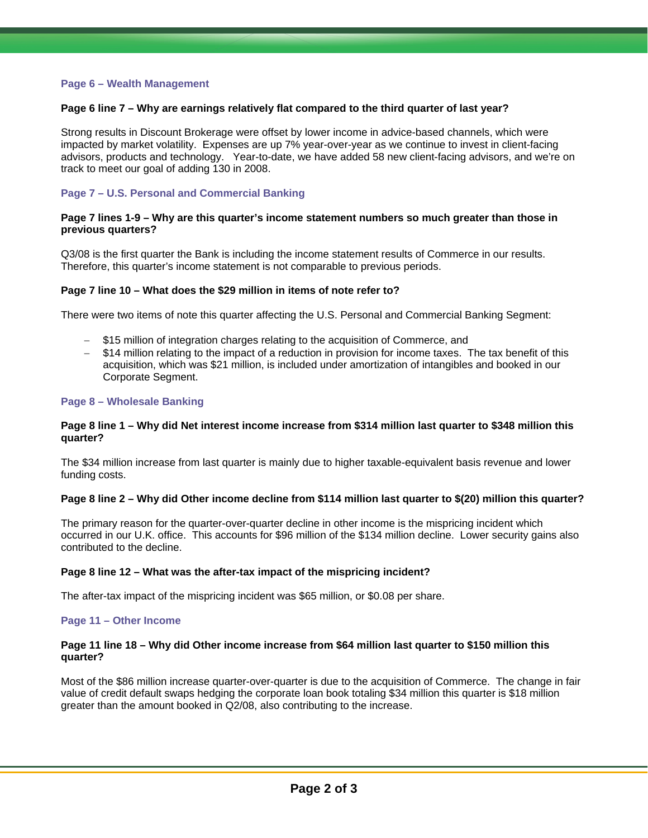#### **Page 6 – Wealth Management**

#### **Page 6 line 7 – Why are earnings relatively flat compared to the third quarter of last year?**

Strong results in Discount Brokerage were offset by lower income in advice-based channels, which were impacted by market volatility. Expenses are up 7% year-over-year as we continue to invest in client-facing advisors, products and technology. Year-to-date, we have added 58 new client-facing advisors, and we're on track to meet our goal of adding 130 in 2008.

#### **Page 7 – U.S. Personal and Commercial Banking**

#### **Page 7 lines 1-9 – Why are this quarter's income statement numbers so much greater than those in previous quarters?**

Q3/08 is the first quarter the Bank is including the income statement results of Commerce in our results. Therefore, this quarter's income statement is not comparable to previous periods.

#### **Page 7 line 10 – What does the \$29 million in items of note refer to?**

There were two items of note this quarter affecting the U.S. Personal and Commercial Banking Segment:

- − \$15 million of integration charges relating to the acquisition of Commerce, and
- \$14 million relating to the impact of a reduction in provision for income taxes. The tax benefit of this acquisition, which was \$21 million, is included under amortization of intangibles and booked in our Corporate Segment.

#### **Page 8 – Wholesale Banking**

#### **Page 8 line 1 – Why did Net interest income increase from \$314 million last quarter to \$348 million this quarter?**

The \$34 million increase from last quarter is mainly due to higher taxable-equivalent basis revenue and lower funding costs.

#### **Page 8 line 2 – Why did Other income decline from \$114 million last quarter to \$(20) million this quarter?**

The primary reason for the quarter-over-quarter decline in other income is the mispricing incident which occurred in our U.K. office. This accounts for \$96 million of the \$134 million decline. Lower security gains also contributed to the decline.

#### **Page 8 line 12 – What was the after-tax impact of the mispricing incident?**

The after-tax impact of the mispricing incident was \$65 million, or \$0.08 per share.

#### **Page 11 – Other Income**

#### **Page 11 line 18 – Why did Other income increase from \$64 million last quarter to \$150 million this quarter?**

Most of the \$86 million increase quarter-over-quarter is due to the acquisition of Commerce. The change in fair value of credit default swaps hedging the corporate loan book totaling \$34 million this quarter is \$18 million greater than the amount booked in Q2/08, also contributing to the increase.